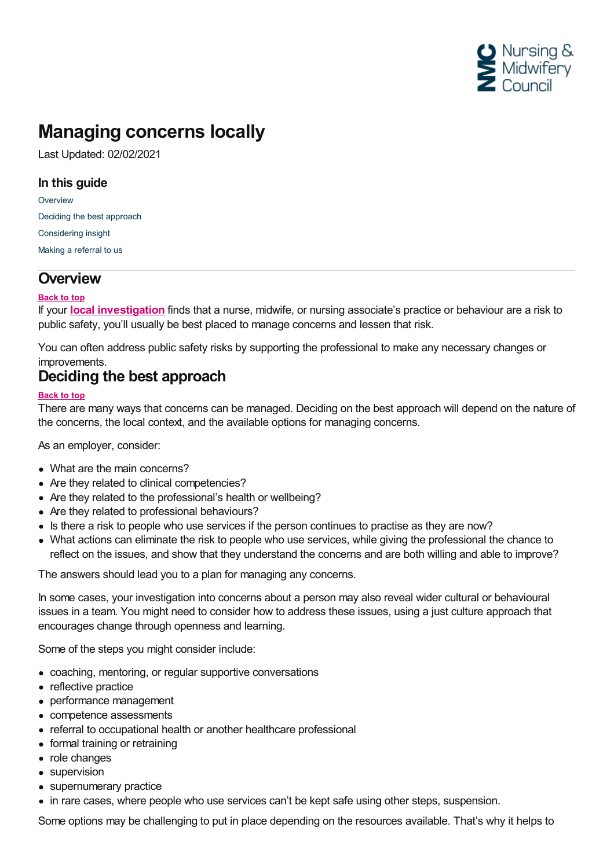

# **Managing concerns locally**

Last Updated: 02/02/2021

### **In this guide**

**[Overview](#page-0-0)** Deciding the best [approach](#page-0-1) [Considering](#page-1-0) insight Making a [referral](#page-1-1) to us

# <span id="page-0-0"></span>**Overview**

#### **Back to top**

If your **local [investigation](https://www.nmc.org.uk/employer-resource/local-investigation/)** finds that a nurse, midwife, or nursing associate's practice or behaviour are a risk to public safety, you'll usually be best placed to manage concerns and lessen that risk.

You can often address public safety risks by supporting the professional to make any necessary changes or improvements.

## <span id="page-0-1"></span>**Deciding the best approach**

#### **Back to top**

There are many ways that concerns can be managed. Deciding on the best approach will depend on the nature of the concerns, the local context, and the available options for managing concerns.

As an employer, consider:

- What are the main concerns?
- Are they related to clinical competencies?
- Are they related to the professional's health or wellbeing?
- Are they related to professional behaviours?
- Is there a risk to people who use services if the person continues to practise as they are now?
- What actions can eliminate the risk to people who use services, while giving the professional the chance to reflect on the issues, and show that they understand the concerns and are both willing and able to improve?

The answers should lead you to a plan for managing any concerns.

In some cases, your investigation into concerns about a person may also reveal wider cultural or behavioural issues in a team. You might need to consider how to address these issues, using a just culture approach that encourages change through openness and learning.

Some of the steps you might consider include:

- coaching, mentoring, or regular supportive conversations
- reflective practice
- performance management
- competence assessments
- referral to occupational health or another healthcare professional
- formal training or retraining
- role changes
- supervision
- supernumerary practice
- in rare cases, where people who use services can't be kept safe using other steps, suspension.

Some options may be challenging to put in place depending on the resources available. That's why it helps to